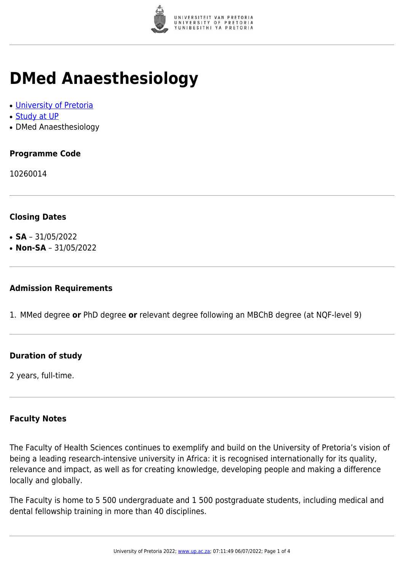

# **DMed Anaesthesiology**

- [University of Pretoria](https://www.up.ac.za/home)
- [Study at UP](https://www.up.ac.za/programmes)
- DMed Anaesthesiology

## **Programme Code**

10260014

### **Closing Dates**

- **SA** 31/05/2022
- $\cdot$  **Non-SA** 31/05/2022

#### **Admission Requirements**

1. MMed degree **or** PhD degree **or** relevant degree following an MBChB degree (at NQF-level 9)

### **Duration of study**

2 years, full-time.

#### **Faculty Notes**

The Faculty of Health Sciences continues to exemplify and build on the University of Pretoria's vision of being a leading research-intensive university in Africa: it is recognised internationally for its quality, relevance and impact, as well as for creating knowledge, developing people and making a difference locally and globally.

The Faculty is home to 5 500 undergraduate and 1 500 postgraduate students, including medical and dental fellowship training in more than 40 disciplines.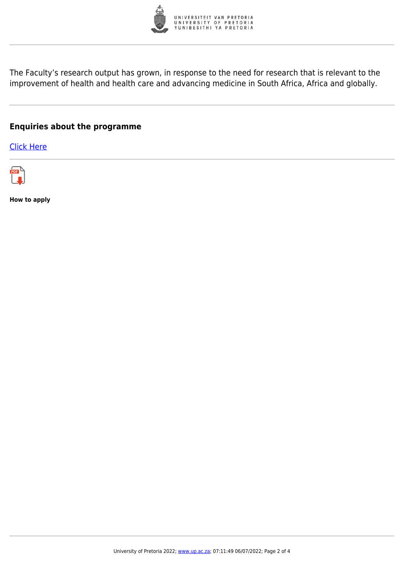

The Faculty's research output has grown, in response to the need for research that is relevant to the improvement of health and health care and advancing medicine in South Africa, Africa and globally.

### **Enquiries about the programme**

[Click Here](https://www.up.ac.za/postgraduate-students)



**How to apply**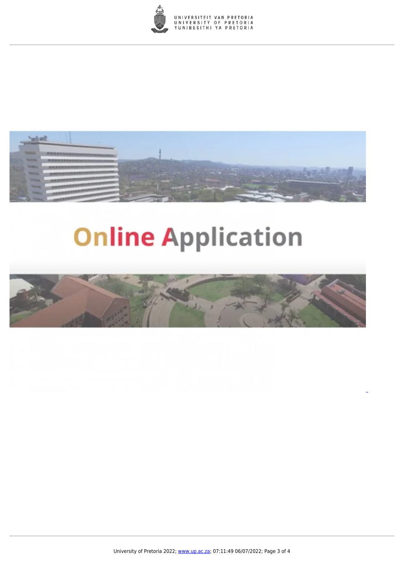



# **Online Application**